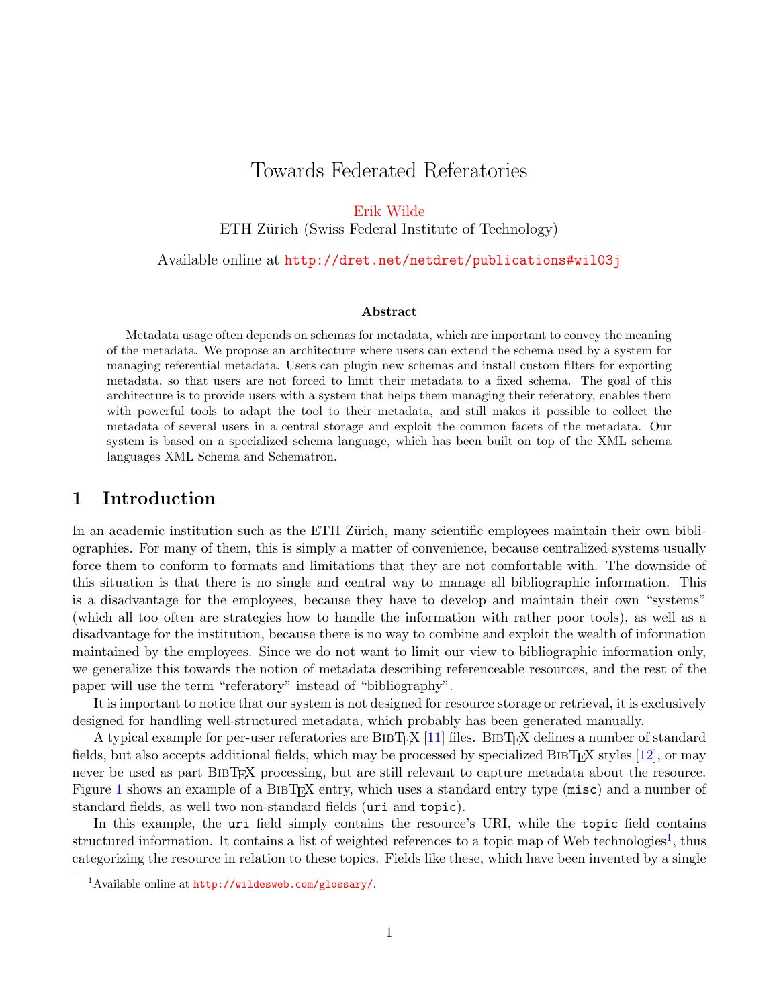# Towards Federated Referatories

[Erik Wilde](http://dret.net/netdret/)

ETH Zürich (Swiss Federal Institute of Technology)

Available online at <http://dret.net/netdret/publications#wil03j>

#### Abstract

Metadata usage often depends on schemas for metadata, which are important to convey the meaning of the metadata. We propose an architecture where users can extend the schema used by a system for managing referential metadata. Users can plugin new schemas and install custom filters for exporting metadata, so that users are not forced to limit their metadata to a fixed schema. The goal of this architecture is to provide users with a system that helps them managing their referatory, enables them with powerful tools to adapt the tool to their metadata, and still makes it possible to collect the metadata of several users in a central storage and exploit the common facets of the metadata. Our system is based on a specialized schema language, which has been built on top of the XML schema languages XML Schema and Schematron.

## 1 Introduction

In an academic institution such as the ETH Zürich, many scientific employees maintain their own bibliographies. For many of them, this is simply a matter of convenience, because centralized systems usually force them to conform to formats and limitations that they are not comfortable with. The downside of this situation is that there is no single and central way to manage all bibliographic information. This is a disadvantage for the employees, because they have to develop and maintain their own "systems" (which all too often are strategies how to handle the information with rather poor tools), as well as a disadvantage for the institution, because there is no way to combine and exploit the wealth of information maintained by the employees. Since we do not want to limit our view to bibliographic information only, we generalize this towards the notion of metadata describing referenceable resources, and the rest of the paper will use the term "referatory" instead of "bibliography".

It is important to notice that our system is not designed for resource storage or retrieval, it is exclusively designed for handling well-structured metadata, which probably has been generated manually.

A typical example for per-user referatories are BIBTEX [\[11\]](#page-10-0) files. BIBTEX defines a number of standard fields, but also accepts additional fields, which may be processed by specialized BIBTEX styles  $[12]$ , or may never be used as part BIBTEX processing, but are still relevant to capture metadata about the resource. Figure [1](#page-1-0) shows an example of a BIBTEX entry, which uses a standard entry type (misc) and a number of standard fields, as well two non-standard fields (uri and topic).

In this example, the uri field simply contains the resource's URI, while the topic field contains structured information. It contains a list of weighted references to a topic map of Web technologies<sup>1</sup>, thus categorizing the resource in relation to these topics. Fields like these, which have been invented by a single

<sup>1</sup>Available online at <http://wildesweb.com/glossary/>.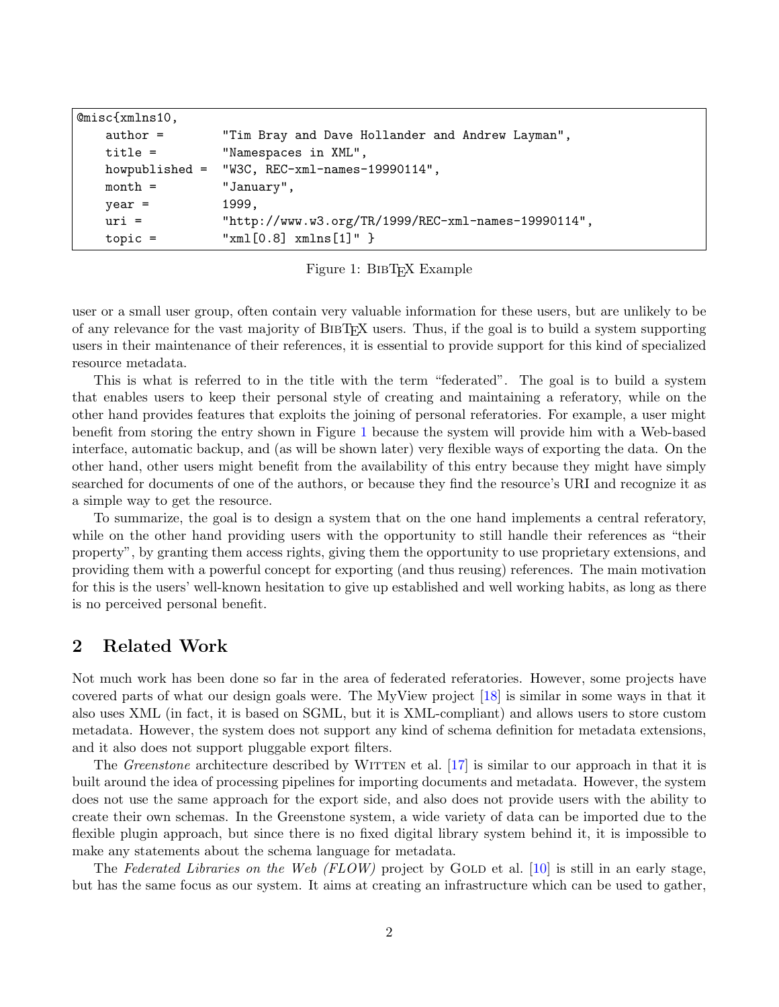<span id="page-1-0"></span>

| $@misc {xmlns10,$ |            |                                                     |
|-------------------|------------|-----------------------------------------------------|
|                   | $author =$ | "Tim Bray and Dave Hollander and Andrew Layman",    |
|                   | $title =$  | "Namespaces in XML",                                |
|                   |            | howpublished = $W3C$ , REC-xml-names-19990114",     |
|                   | $month =$  | "January",                                          |
|                   | $year =$   | 1999,                                               |
|                   | $uri =$    | "http://www.w3.org/TR/1999/REC-xml-names-19990114", |
|                   | $topic =$  | $"\text{xml}[0.8]$ xmlns $[1]$ " }                  |
|                   |            |                                                     |

Figure 1: BIBT<sub>E</sub>X Example

user or a small user group, often contain very valuable information for these users, but are unlikely to be of any relevance for the vast majority of BibTEX users. Thus, if the goal is to build a system supporting users in their maintenance of their references, it is essential to provide support for this kind of specialized resource metadata.

This is what is referred to in the title with the term "federated". The goal is to build a system that enables users to keep their personal style of creating and maintaining a referatory, while on the other hand provides features that exploits the joining of personal referatories. For example, a user might benefit from storing the entry shown in Figure 1 because the system will provide him with a Web-based interface, automatic backup, and (as will be shown later) very flexible ways of exporting the data. On the other hand, other users might benefit from the availability of this entry because they might have simply searched for documents of one of the authors, or because they find the resource's URI and recognize it as a simple way to get the resource.

To summarize, the goal is to design a system that on the one hand implements a central referatory, while on the other hand providing users with the opportunity to still handle their references as "their property", by granting them access rights, giving them the opportunity to use proprietary extensions, and providing them with a powerful concept for exporting (and thus reusing) references. The main motivation for this is the users' well-known hesitation to give up established and well working habits, as long as there is no perceived personal benefit.

## 2 Related Work

Not much work has been done so far in the area of federated referatories. However, some projects have covered parts of what our design goals were. The MyView project [\[18\]](#page-10-0) is similar in some ways in that it also uses XML (in fact, it is based on SGML, but it is XML-compliant) and allows users to store custom metadata. However, the system does not support any kind of schema definition for metadata extensions, and it also does not support pluggable export filters.

The *Greenstone* architecture described by WITTEN et al.  $[17]$  is similar to our approach in that it is built around the idea of processing pipelines for importing documents and metadata. However, the system does not use the same approach for the export side, and also does not provide users with the ability to create their own schemas. In the Greenstone system, a wide variety of data can be imported due to the flexible plugin approach, but since there is no fixed digital library system behind it, it is impossible to make any statements about the schema language for metadata.

The Federated Libraries on the Web (FLOW) project by GOLD et al. [\[10\]](#page-10-0) is still in an early stage. but has the same focus as our system. It aims at creating an infrastructure which can be used to gather,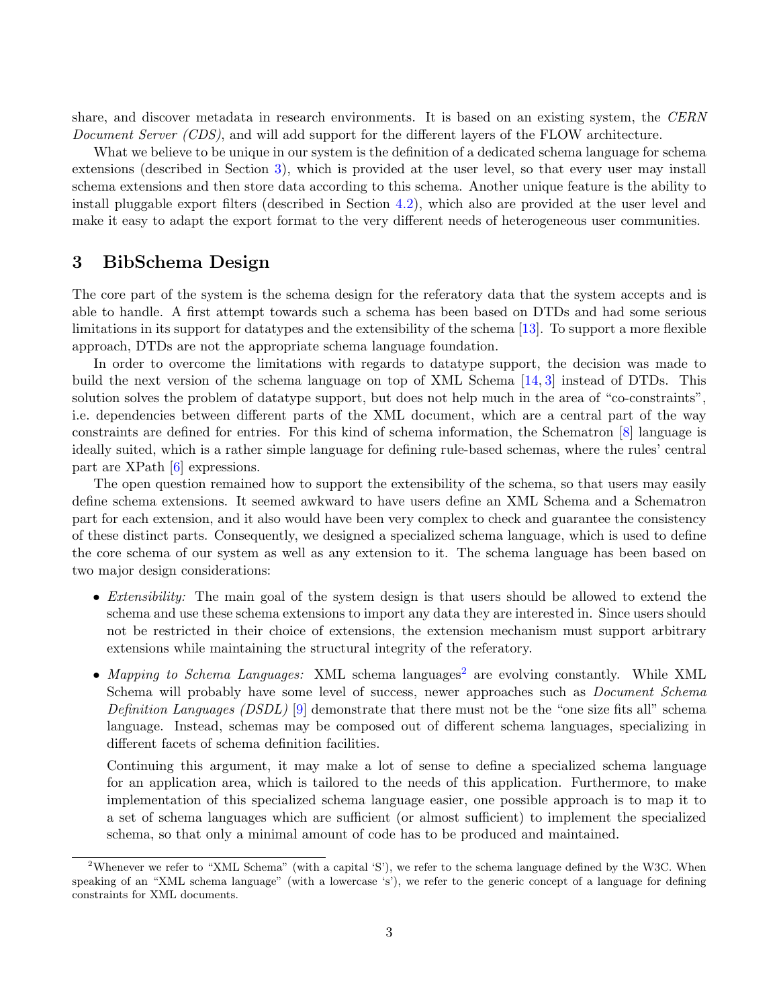share, and discover metadata in research environments. It is based on an existing system, the CERN Document Server (CDS), and will add support for the different layers of the FLOW architecture.

What we believe to be unique in our system is the definition of a dedicated schema language for schema extensions (described in Section 3), which is provided at the user level, so that every user may install schema extensions and then store data according to this schema. Another unique feature is the ability to install pluggable export filters (described in Section [4.2\)](#page-7-0), which also are provided at the user level and make it easy to adapt the export format to the very different needs of heterogeneous user communities.

## 3 BibSchema Design

The core part of the system is the schema design for the referatory data that the system accepts and is able to handle. A first attempt towards such a schema has been based on DTDs and had some serious limitations in its support for datatypes and the extensibility of the schema [\[13\]](#page-10-0). To support a more flexible approach, DTDs are not the appropriate schema language foundation.

In order to overcome the limitations with regards to datatype support, the decision was made to build the next version of the schema language on top of XML Schema [\[14,](#page-10-0) [3\]](#page-9-0) instead of DTDs. This solution solves the problem of datatype support, but does not help much in the area of "co-constraints", i.e. dependencies between different parts of the XML document, which are a central part of the way constraints are defined for entries. For this kind of schema information, the Schematron [\[8\]](#page-10-0) language is ideally suited, which is a rather simple language for defining rule-based schemas, where the rules' central part are XPath [\[6\]](#page-9-0) expressions.

The open question remained how to support the extensibility of the schema, so that users may easily define schema extensions. It seemed awkward to have users define an XML Schema and a Schematron part for each extension, and it also would have been very complex to check and guarantee the consistency of these distinct parts. Consequently, we designed a specialized schema language, which is used to define the core schema of our system as well as any extension to it. The schema language has been based on two major design considerations:

- *Extensibility:* The main goal of the system design is that users should be allowed to extend the schema and use these schema extensions to import any data they are interested in. Since users should not be restricted in their choice of extensions, the extension mechanism must support arbitrary extensions while maintaining the structural integrity of the referatory.
- Mapping to Schema Languages: XML schema languages<sup>2</sup> are evolving constantly. While XML Schema will probably have some level of success, newer approaches such as *Document Schema* Definition Languages (DSDL) [\[9\]](#page-10-0) demonstrate that there must not be the "one size fits all" schema language. Instead, schemas may be composed out of different schema languages, specializing in different facets of schema definition facilities.

Continuing this argument, it may make a lot of sense to define a specialized schema language for an application area, which is tailored to the needs of this application. Furthermore, to make implementation of this specialized schema language easier, one possible approach is to map it to a set of schema languages which are sufficient (or almost sufficient) to implement the specialized schema, so that only a minimal amount of code has to be produced and maintained.

<sup>&</sup>lt;sup>2</sup>Whenever we refer to "XML Schema" (with a capital 'S'), we refer to the schema language defined by the W3C. When speaking of an "XML schema language" (with a lowercase 's'), we refer to the generic concept of a language for defining constraints for XML documents.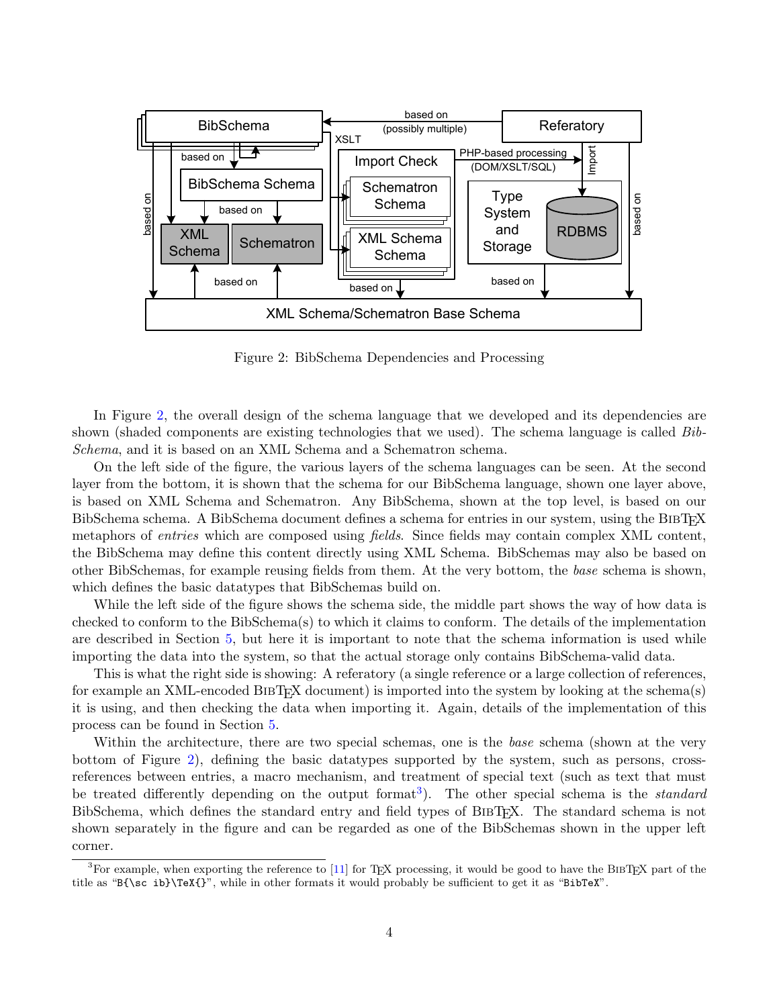<span id="page-3-0"></span>

Figure 2: BibSchema Dependencies and Processing

In Figure 2, the overall design of the schema language that we developed and its dependencies are shown (shaded components are existing technologies that we used). The schema language is called  $Bib$ -Schema, and it is based on an XML Schema and a Schematron schema.

On the left side of the figure, the various layers of the schema languages can be seen. At the second layer from the bottom, it is shown that the schema for our BibSchema language, shown one layer above, is based on XML Schema and Schematron. Any BibSchema, shown at the top level, is based on our BibSchema schema. A BibSchema document defines a schema for entries in our system, using the BIBT<sub>EX</sub> metaphors of *entries* which are composed using *fields*. Since fields may contain complex XML content, the BibSchema may define this content directly using XML Schema. BibSchemas may also be based on other BibSchemas, for example reusing fields from them. At the very bottom, the base schema is shown, which defines the basic datatypes that BibSchemas build on.

While the left side of the figure shows the schema side, the middle part shows the way of how data is checked to conform to the BibSchema(s) to which it claims to conform. The details of the implementation are described in Section [5,](#page-7-0) but here it is important to note that the schema information is used while importing the data into the system, so that the actual storage only contains BibSchema-valid data.

This is what the right side is showing: A referatory (a single reference or a large collection of references, for example an XML-encoded BIBT<sub>EX</sub> document) is imported into the system by looking at the schema(s) it is using, and then checking the data when importing it. Again, details of the implementation of this process can be found in Section [5.](#page-7-0)

Within the architecture, there are two special schemas, one is the base schema (shown at the very bottom of Figure 2), defining the basic datatypes supported by the system, such as persons, crossreferences between entries, a macro mechanism, and treatment of special text (such as text that must be treated differently depending on the output format<sup>3</sup>). The other special schema is the *standard* BibSchema, which defines the standard entry and field types of BIBT<sub>EX</sub>. The standard schema is not shown separately in the figure and can be regarded as one of the BibSchemas shown in the upper left corner.

<sup>&</sup>lt;sup>3</sup>For example, when exporting the reference to [\[11\]](#page-10-0) for T<sub>E</sub>X processing, it would be good to have the BIBT<sub>E</sub>X part of the title as "B{\sc ib}\TeX{}", while in other formats it would probably be sufficient to get it as "BibTeX".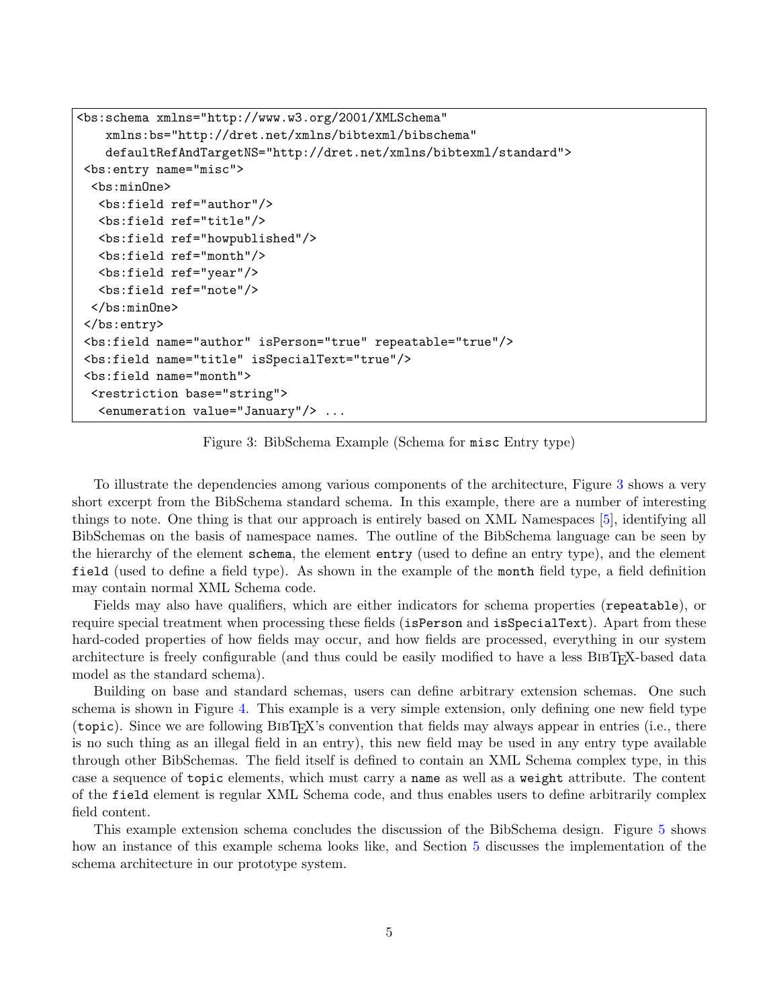```
<bs:schema xmlns="http://www.w3.org/2001/XMLSchema"
   xmlns:bs="http://dret.net/xmlns/bibtexml/bibschema"
   defaultRefAndTargetNS="http://dret.net/xmlns/bibtexml/standard">
<bs:entry name="misc">
 <bs:minOne>
  <bs:field ref="author"/>
  <bs:field ref="title"/>
  <bs:field ref="howpublished"/>
  <bs:field ref="month"/>
  <bs:field ref="year"/>
  <bs:field ref="note"/>
 </bs:minOne>
</bs:entry>
<bs:field name="author" isPerson="true" repeatable="true"/>
<bs:field name="title" isSpecialText="true"/>
<bs:field name="month">
 <restriction base="string">
  <enumeration value="January"/> ...
```
Figure 3: BibSchema Example (Schema for misc Entry type)

To illustrate the dependencies among various components of the architecture, Figure 3 shows a very short excerpt from the BibSchema standard schema. In this example, there are a number of interesting things to note. One thing is that our approach is entirely based on XML Namespaces [\[5\]](#page-9-0), identifying all BibSchemas on the basis of namespace names. The outline of the BibSchema language can be seen by the hierarchy of the element schema, the element entry (used to define an entry type), and the element field (used to define a field type). As shown in the example of the month field type, a field definition may contain normal XML Schema code.

Fields may also have qualifiers, which are either indicators for schema properties (repeatable), or require special treatment when processing these fields (isPerson and isSpecialText). Apart from these hard-coded properties of how fields may occur, and how fields are processed, everything in our system architecture is freely configurable (and thus could be easily modified to have a less BIBT<sub>EX</sub>-based data model as the standard schema).

Building on base and standard schemas, users can define arbitrary extension schemas. One such schema is shown in Figure [4.](#page-5-0) This example is a very simple extension, only defining one new field type (topic). Since we are following BibTEX's convention that fields may always appear in entries (i.e., there is no such thing as an illegal field in an entry), this new field may be used in any entry type available through other BibSchemas. The field itself is defined to contain an XML Schema complex type, in this case a sequence of topic elements, which must carry a name as well as a weight attribute. The content of the field element is regular XML Schema code, and thus enables users to define arbitrarily complex field content.

This example extension schema concludes the discussion of the BibSchema design. Figure [5](#page-6-0) shows how an instance of this example schema looks like, and Section [5](#page-7-0) discusses the implementation of the schema architecture in our prototype system.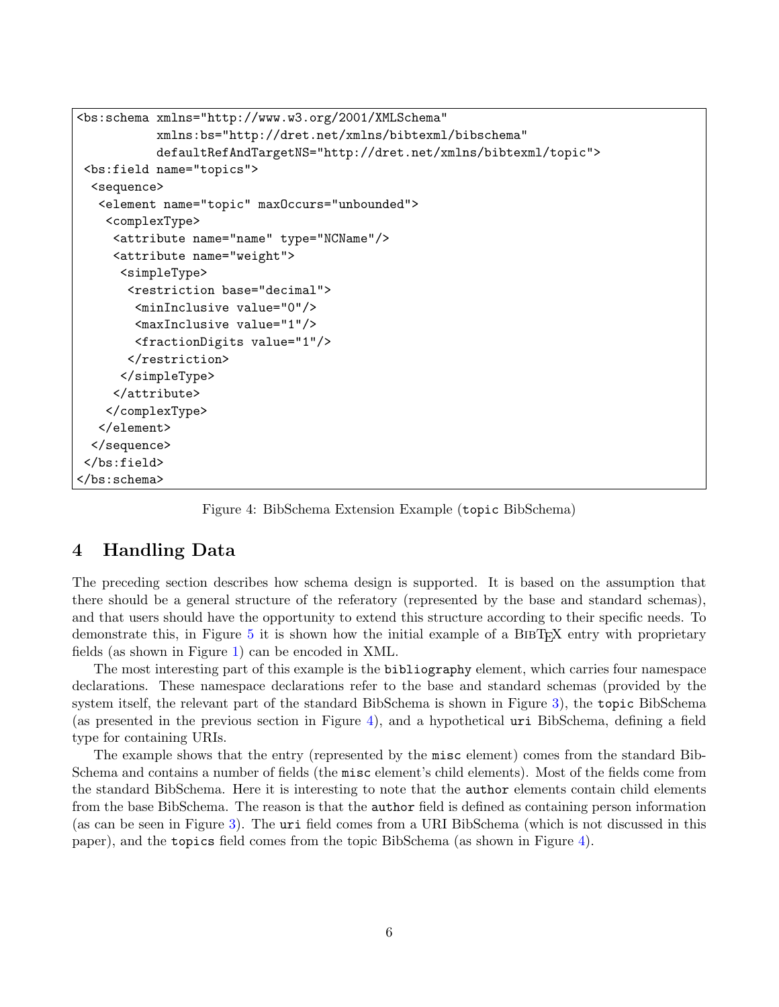```
<bs:schema xmlns="http://www.w3.org/2001/XMLSchema"
           xmlns:bs="http://dret.net/xmlns/bibtexml/bibschema"
           defaultRefAndTargetNS="http://dret.net/xmlns/bibtexml/topic">
<bs:field name="topics">
 <sequence>
  <element name="topic" maxOccurs="unbounded">
    <complexType>
    <attribute name="name" type="NCName"/>
     <attribute name="weight">
     <simpleType>
       <restriction base="decimal">
        <minInclusive value="0"/>
        <maxInclusive value="1"/>
        <fractionDigits value="1"/>
       </restriction>
      </simpleType>
    </attribute>
    </complexType>
  </element>
 </sequence>
</bs:field>
</bs:schema>
```
Figure 4: BibSchema Extension Example (topic BibSchema)

## 4 Handling Data

The preceding section describes how schema design is supported. It is based on the assumption that there should be a general structure of the referatory (represented by the base and standard schemas), and that users should have the opportunity to extend this structure according to their specific needs. To demonstrate this, in Figure [5](#page-6-0) it is shown how the initial example of a BibTEX entry with proprietary fields (as shown in Figure [1\)](#page-1-0) can be encoded in XML.

The most interesting part of this example is the bibliography element, which carries four namespace declarations. These namespace declarations refer to the base and standard schemas (provided by the system itself, the relevant part of the standard BibSchema is shown in Figure [3\)](#page-4-0), the topic BibSchema (as presented in the previous section in Figure 4), and a hypothetical uri BibSchema, defining a field type for containing URIs.

The example shows that the entry (represented by the misc element) comes from the standard Bib-Schema and contains a number of fields (the misc element's child elements). Most of the fields come from the standard BibSchema. Here it is interesting to note that the author elements contain child elements from the base BibSchema. The reason is that the author field is defined as containing person information (as can be seen in Figure [3\)](#page-4-0). The uri field comes from a URI BibSchema (which is not discussed in this paper), and the topics field comes from the topic BibSchema (as shown in Figure 4).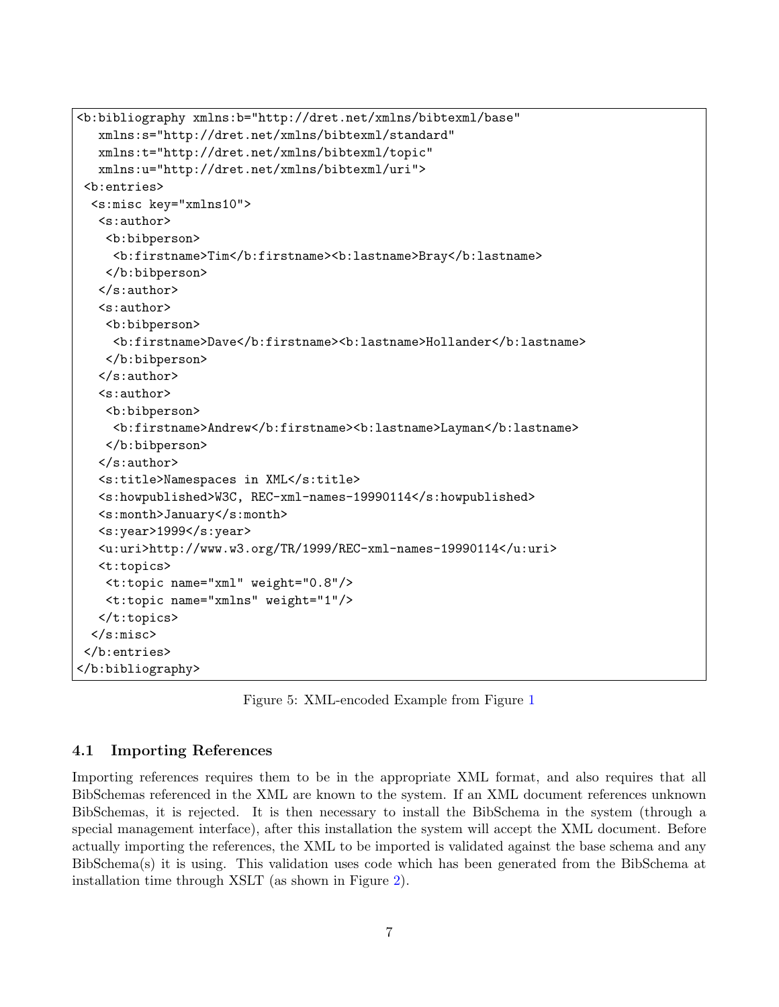```
<b:bibliography xmlns:b="http://dret.net/xmlns/bibtexml/base"
  xmlns:s="http://dret.net/xmlns/bibtexml/standard"
  xmlns:t="http://dret.net/xmlns/bibtexml/topic"
  xmlns:u="http://dret.net/xmlns/bibtexml/uri">
<b:entries>
 <s:misc key="xmlns10">
  <s:author>
   <b:bibperson>
    <b:firstname>Tim</b:firstname><b:lastname>Bray</b:lastname>
   </b:bibperson>
  </s:author>
  <s:author>
   <b:bibperson>
    <b:firstname>Dave</b:firstname><b:lastname>Hollander</b:lastname>
   </b:bibperson>
  </s:author>
  <s:author>
   <b:bibperson>
    <b:firstname>Andrew</b:firstname><b:lastname>Layman</b:lastname>
   </b:bibperson>
  </s:author>
  <s:title>Namespaces in XML</s:title>
  <s:howpublished>W3C, REC-xml-names-19990114</s:howpublished>
  <s:month>January</s:month>
  <s:year>1999</s:year>
  <u:uri>http://www.w3.org/TR/1999/REC-xml-names-19990114</u:uri>
  <t:topics>
   <t:topic name="xml" weight="0.8"/>
   <t:topic name="xmlns" weight="1"/>
  \langle t:topics \rangle</s:misc>
</b:entries>
</b:bibliography>
```
Figure 5: XML-encoded Example from Figure [1](#page-1-0)

#### 4.1 Importing References

Importing references requires them to be in the appropriate XML format, and also requires that all BibSchemas referenced in the XML are known to the system. If an XML document references unknown BibSchemas, it is rejected. It is then necessary to install the BibSchema in the system (through a special management interface), after this installation the system will accept the XML document. Before actually importing the references, the XML to be imported is validated against the base schema and any BibSchema(s) it is using. This validation uses code which has been generated from the BibSchema at installation time through XSLT (as shown in Figure [2\)](#page-3-0).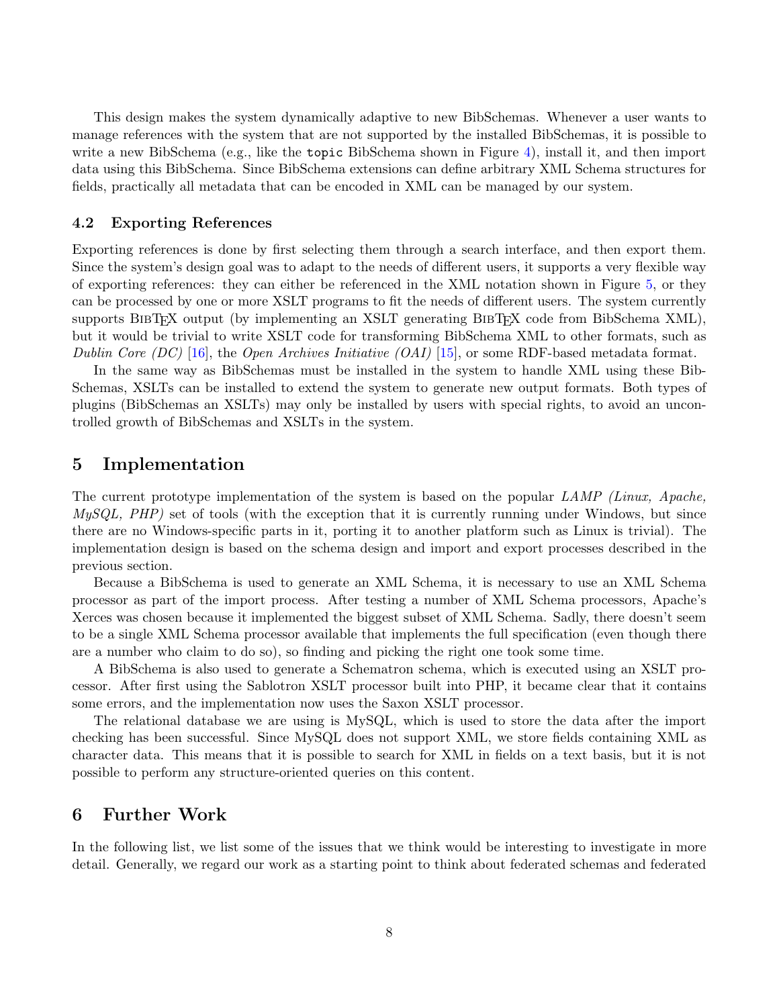<span id="page-7-0"></span>This design makes the system dynamically adaptive to new BibSchemas. Whenever a user wants to manage references with the system that are not supported by the installed BibSchemas, it is possible to write a new BibSchema (e.g., like the topic BibSchema shown in Figure [4\)](#page-5-0), install it, and then import data using this BibSchema. Since BibSchema extensions can define arbitrary XML Schema structures for fields, practically all metadata that can be encoded in XML can be managed by our system.

#### 4.2 Exporting References

Exporting references is done by first selecting them through a search interface, and then export them. Since the system's design goal was to adapt to the needs of different users, it supports a very flexible way of exporting references: they can either be referenced in the XML notation shown in Figure [5,](#page-6-0) or they can be processed by one or more XSLT programs to fit the needs of different users. The system currently supports BIBT<sub>EX</sub> output (by implementing an XSLT generating BIBT<sub>EX</sub> code from BibSchema XML), but it would be trivial to write XSLT code for transforming BibSchema XML to other formats, such as Dublin Core (DC) [\[16\]](#page-10-0), the Open Archives Initiative (OAI) [\[15\]](#page-10-0), or some RDF-based metadata format.

In the same way as BibSchemas must be installed in the system to handle XML using these Bib-Schemas, XSLTs can be installed to extend the system to generate new output formats. Both types of plugins (BibSchemas an XSLTs) may only be installed by users with special rights, to avoid an uncontrolled growth of BibSchemas and XSLTs in the system.

### 5 Implementation

The current prototype implementation of the system is based on the popular LAMP (Linux, Apache,  $MySQL$ ,  $PHP$ ) set of tools (with the exception that it is currently running under Windows, but since there are no Windows-specific parts in it, porting it to another platform such as Linux is trivial). The implementation design is based on the schema design and import and export processes described in the previous section.

Because a BibSchema is used to generate an XML Schema, it is necessary to use an XML Schema processor as part of the import process. After testing a number of XML Schema processors, Apache's Xerces was chosen because it implemented the biggest subset of XML Schema. Sadly, there doesn't seem to be a single XML Schema processor available that implements the full specification (even though there are a number who claim to do so), so finding and picking the right one took some time.

A BibSchema is also used to generate a Schematron schema, which is executed using an XSLT processor. After first using the Sablotron XSLT processor built into PHP, it became clear that it contains some errors, and the implementation now uses the Saxon XSLT processor.

The relational database we are using is MySQL, which is used to store the data after the import checking has been successful. Since MySQL does not support XML, we store fields containing XML as character data. This means that it is possible to search for XML in fields on a text basis, but it is not possible to perform any structure-oriented queries on this content.

### 6 Further Work

In the following list, we list some of the issues that we think would be interesting to investigate in more detail. Generally, we regard our work as a starting point to think about federated schemas and federated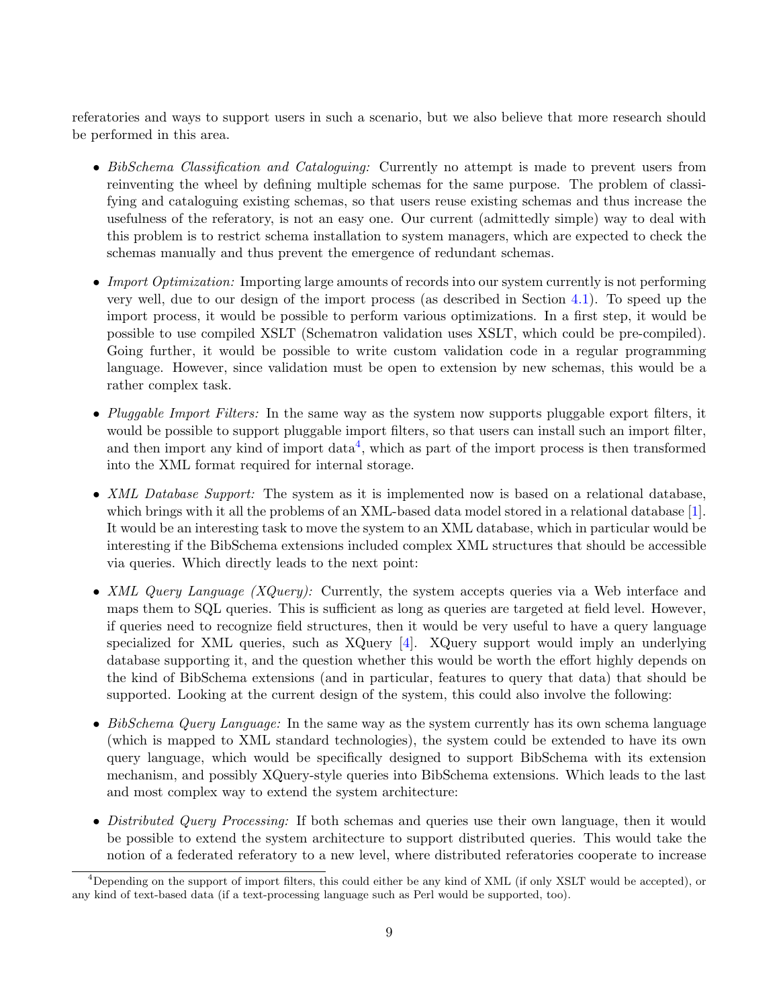referatories and ways to support users in such a scenario, but we also believe that more research should be performed in this area.

- BibSchema Classification and Cataloguing: Currently no attempt is made to prevent users from reinventing the wheel by defining multiple schemas for the same purpose. The problem of classifying and cataloguing existing schemas, so that users reuse existing schemas and thus increase the usefulness of the referatory, is not an easy one. Our current (admittedly simple) way to deal with this problem is to restrict schema installation to system managers, which are expected to check the schemas manually and thus prevent the emergence of redundant schemas.
- Import Optimization: Importing large amounts of records into our system currently is not performing very well, due to our design of the import process (as described in Section [4.1\)](#page-6-0). To speed up the import process, it would be possible to perform various optimizations. In a first step, it would be possible to use compiled XSLT (Schematron validation uses XSLT, which could be pre-compiled). Going further, it would be possible to write custom validation code in a regular programming language. However, since validation must be open to extension by new schemas, this would be a rather complex task.
- Pluggable Import Filters: In the same way as the system now supports pluggable export filters, it would be possible to support pluggable import filters, so that users can install such an import filter, and then import any kind of import  $data<sup>4</sup>$ , which as part of the import process is then transformed into the XML format required for internal storage.
- XML Database Support: The system as it is implemented now is based on a relational database, which brings with it all the problems of an XML-based data model stored in a relational database [\[1\]](#page-9-0). It would be an interesting task to move the system to an XML database, which in particular would be interesting if the BibSchema extensions included complex XML structures that should be accessible via queries. Which directly leads to the next point:
- XML Query Language (XQuery): Currently, the system accepts queries via a Web interface and maps them to SQL queries. This is sufficient as long as queries are targeted at field level. However, if queries need to recognize field structures, then it would be very useful to have a query language specialized for XML queries, such as XQuery [\[4\]](#page-9-0). XQuery support would imply an underlying database supporting it, and the question whether this would be worth the effort highly depends on the kind of BibSchema extensions (and in particular, features to query that data) that should be supported. Looking at the current design of the system, this could also involve the following:
- BibSchema Query Language: In the same way as the system currently has its own schema language (which is mapped to XML standard technologies), the system could be extended to have its own query language, which would be specifically designed to support BibSchema with its extension mechanism, and possibly XQuery-style queries into BibSchema extensions. Which leads to the last and most complex way to extend the system architecture:
- Distributed Query Processing: If both schemas and queries use their own language, then it would be possible to extend the system architecture to support distributed queries. This would take the notion of a federated referatory to a new level, where distributed referatories cooperate to increase

 $4$ Depending on the support of import filters, this could either be any kind of XML (if only XSLT would be accepted), or any kind of text-based data (if a text-processing language such as Perl would be supported, too).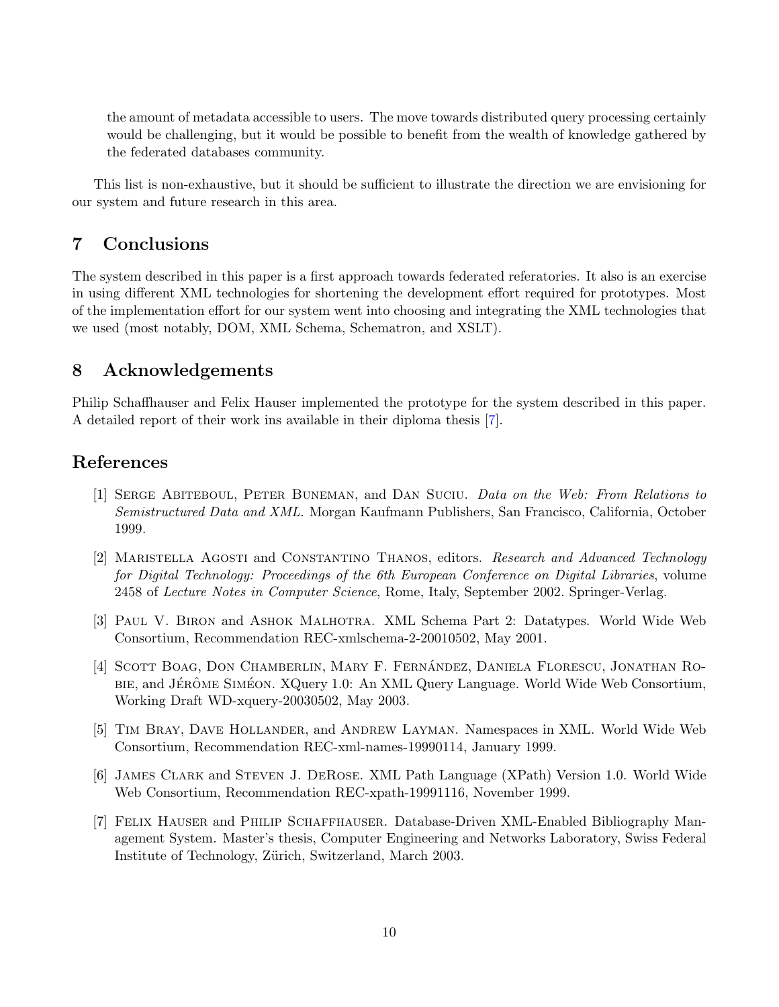<span id="page-9-0"></span>the amount of metadata accessible to users. The move towards distributed query processing certainly would be challenging, but it would be possible to benefit from the wealth of knowledge gathered by the federated databases community.

This list is non-exhaustive, but it should be sufficient to illustrate the direction we are envisioning for our system and future research in this area.

## 7 Conclusions

The system described in this paper is a first approach towards federated referatories. It also is an exercise in using different XML technologies for shortening the development effort required for prototypes. Most of the implementation effort for our system went into choosing and integrating the XML technologies that we used (most notably, DOM, XML Schema, Schematron, and XSLT).

## 8 Acknowledgements

Philip Schaffhauser and Felix Hauser implemented the prototype for the system described in this paper. A detailed report of their work ins available in their diploma thesis [7].

## References

- [1] Serge Abiteboul, Peter Buneman, and Dan Suciu. Data on the Web: From Relations to Semistructured Data and XML. Morgan Kaufmann Publishers, San Francisco, California, October 1999.
- [2] MARISTELLA AGOSTI and CONSTANTINO THANOS, editors. Research and Advanced Technology for Digital Technology: Proceedings of the 6th European Conference on Digital Libraries, volume 2458 of Lecture Notes in Computer Science, Rome, Italy, September 2002. Springer-Verlag.
- [3] Paul V. Biron and Ashok Malhotra. XML Schema Part 2: Datatypes. World Wide Web Consortium, Recommendation REC-xmlschema-2-20010502, May 2001.
- [4] SCOTT BOAG, DON CHAMBERLIN, MARY F. FERNANDEZ, DANIELA FLORESCU, JONATHAN RO-BIE, and JÉRÔME SIMÉON. XQuery 1.0: An XML Query Language. World Wide Web Consortium, Working Draft WD-xquery-20030502, May 2003.
- [5] Tim Bray, Dave Hollander, and Andrew Layman. Namespaces in XML. World Wide Web Consortium, Recommendation REC-xml-names-19990114, January 1999.
- [6] James Clark and Steven J. DeRose. XML Path Language (XPath) Version 1.0. World Wide Web Consortium, Recommendation REC-xpath-19991116, November 1999.
- [7] Felix Hauser and Philip Schaffhauser. Database-Driven XML-Enabled Bibliography Management System. Master's thesis, Computer Engineering and Networks Laboratory, Swiss Federal Institute of Technology, Zürich, Switzerland, March 2003.